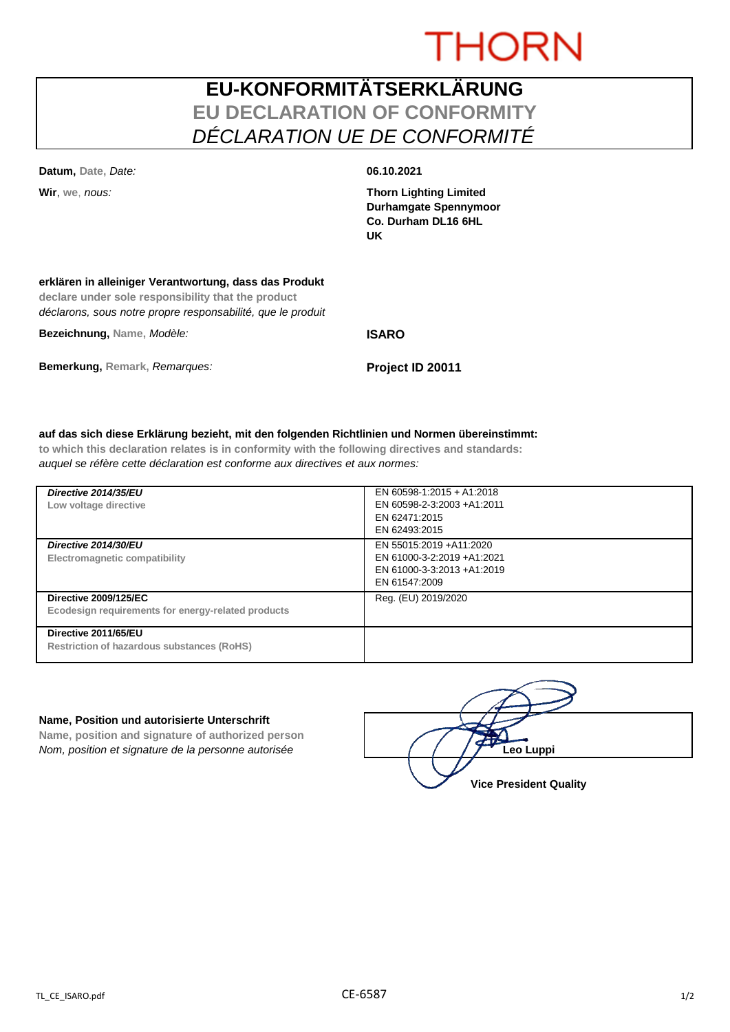# **THORN**

## **EU-KONFORMITÄTSERKLÄRUNG EU DECLARATION OF CONFORMITY** *DÉCLARATION UE DE CONFORMITÉ*

**Datum, Date,** *Date:* **06.10.2021**

**Wir**, **we**, *nous:* **Thorn Lighting Limited Durhamgate Spennymoor Co. Durham DL16 6HL UK**

### **erklären in alleiniger Verantwortung, dass das Produkt**

**declare under sole responsibility that the product** *déclarons, sous notre propre responsabilité, que le produit*

**Bezeichnung, Name,** *Modèle:* **ISARO**

**Bemerkung, Remark,** *Remarques:* **Project ID 20011**

### **auf das sich diese Erklärung bezieht, mit den folgenden Richtlinien und Normen übereinstimmt:**

**to which this declaration relates is in conformity with the following directives and standards:** *auquel se réfère cette déclaration est conforme aux directives et aux normes:*

| Directive 2014/35/EU<br>Low voltage directive                                      | EN 60598-1:2015 + A1:2018<br>EN 60598-2-3:2003 +A1:2011<br>EN 62471:2015<br>EN 62493:2015             |
|------------------------------------------------------------------------------------|-------------------------------------------------------------------------------------------------------|
| Directive 2014/30/EU<br>Electromagnetic compatibility                              | EN 55015:2019 + A11:2020<br>EN 61000-3-2:2019 +A1:2021<br>EN 61000-3-3:2013 +A1:2019<br>EN 61547:2009 |
| <b>Directive 2009/125/EC</b><br>Ecodesign requirements for energy-related products | Reg. (EU) 2019/2020                                                                                   |
| Directive 2011/65/EU<br><b>Restriction of hazardous substances (RoHS)</b>          |                                                                                                       |

### **Name, Position und autorisierte Unterschrift**

**Name, position and signature of authorized person** *Nom, position et signature de la personne autorisée*  $\left( \begin{array}{cc} \end{array} \right)$   $\left( \begin{array}{cc} \end{array} \right)$ **Leo Luppi** 

**Vice President Quality**